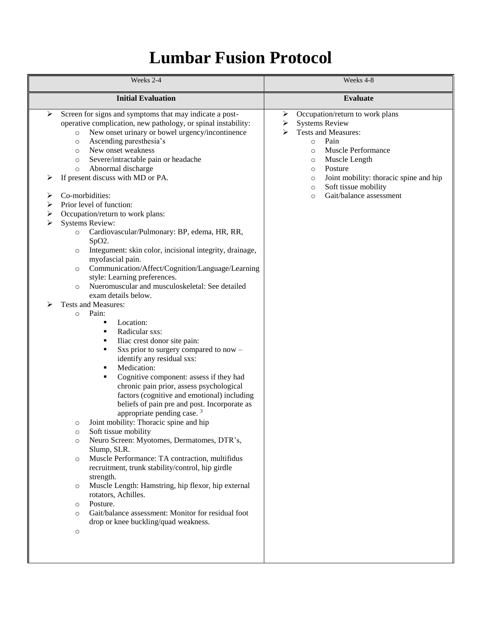## **Lumbar Fusion Protocol**

| Weeks 2-4                                                                                                                                                                                                        |                                                                                                                                                                                                                                                                                                                                                                                                                                                                                                                                                                                                                                                                                                                                                                                                                                                                                                                                                                                                                                                                                                                                                                                                                                                                                                                                                                                                                                                                                                                                                                                                                                       | Weeks 4-8                                                                                                                                                                                                                                                                                                                          |
|------------------------------------------------------------------------------------------------------------------------------------------------------------------------------------------------------------------|---------------------------------------------------------------------------------------------------------------------------------------------------------------------------------------------------------------------------------------------------------------------------------------------------------------------------------------------------------------------------------------------------------------------------------------------------------------------------------------------------------------------------------------------------------------------------------------------------------------------------------------------------------------------------------------------------------------------------------------------------------------------------------------------------------------------------------------------------------------------------------------------------------------------------------------------------------------------------------------------------------------------------------------------------------------------------------------------------------------------------------------------------------------------------------------------------------------------------------------------------------------------------------------------------------------------------------------------------------------------------------------------------------------------------------------------------------------------------------------------------------------------------------------------------------------------------------------------------------------------------------------|------------------------------------------------------------------------------------------------------------------------------------------------------------------------------------------------------------------------------------------------------------------------------------------------------------------------------------|
|                                                                                                                                                                                                                  | <b>Initial Evaluation</b>                                                                                                                                                                                                                                                                                                                                                                                                                                                                                                                                                                                                                                                                                                                                                                                                                                                                                                                                                                                                                                                                                                                                                                                                                                                                                                                                                                                                                                                                                                                                                                                                             | <b>Evaluate</b>                                                                                                                                                                                                                                                                                                                    |
| ➤<br>$\circ$<br>$\circ$<br>$\circ$<br>$\circ$<br>$\circ$<br>⋗<br>⋗<br>⋗<br>⋗<br>$\circ$<br>$\circ$<br>$\circ$<br>$\circ$<br>$\circ$<br>$\circ$<br>$\circ$<br>$\circ$<br>$\circ$<br>$\circ$<br>$\circ$<br>$\circ$ | Screen for signs and symptoms that may indicate a post-<br>operative complication, new pathology, or spinal instability:<br>New onset urinary or bowel urgency/incontinence<br>Ascending paresthesia's<br>New onset weakness<br>Severe/intractable pain or headache<br>Abnormal discharge<br>If present discuss with MD or PA.<br>Co-morbidities:<br>Prior level of function:<br>Occupation/return to work plans:<br><b>Systems Review:</b><br>Cardiovascular/Pulmonary: BP, edema, HR, RR,<br>SpO2.<br>Integument: skin color, incisional integrity, drainage,<br>myofascial pain.<br>Communication/Affect/Cognition/Language/Learning<br>style: Learning preferences.<br>Nueromuscular and musculoskeletal: See detailed<br>exam details below.<br>Tests and Measures:<br>Pain:<br>Location:<br>٠<br>Radicular sxs:<br>٠<br>Iliac crest donor site pain:<br>٠<br>Sxs prior to surgery compared to now -<br>п<br>identify any residual sxs:<br>Medication:<br>٠<br>Cognitive component: assess if they had<br>٠<br>chronic pain prior, assess psychological<br>factors (cognitive and emotional) including<br>beliefs of pain pre and post. Incorporate as<br>appropriate pending case. $3$<br>Joint mobility: Thoracic spine and hip<br>Soft tissue mobility<br>Neuro Screen: Myotomes, Dermatomes, DTR's,<br>Slump, SLR.<br>Muscle Performance: TA contraction, multifidus<br>recruitment, trunk stability/control, hip girdle<br>strength.<br>Muscle Length: Hamstring, hip flexor, hip external<br>rotators, Achilles.<br>Posture.<br>Gait/balance assessment: Monitor for residual foot<br>drop or knee buckling/quad weakness. | Occupation/return to work plans<br>➤<br><b>Systems Review</b><br>➤<br>Tests and Measures:<br>⋗<br>Pain<br>$\circ$<br>Muscle Performance<br>$\circ$<br>Muscle Length<br>$\circ$<br>Posture<br>$\circ$<br>Joint mobility: thoracic spine and hip<br>$\circ$<br>Soft tissue mobility<br>$\circ$<br>Gait/balance assessment<br>$\circ$ |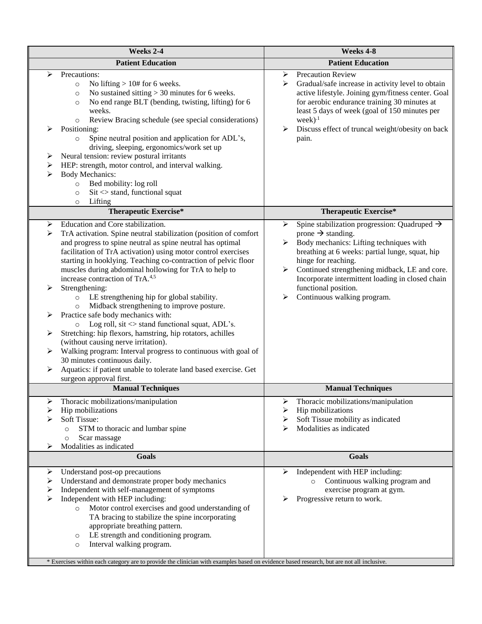| Weeks 2-4                                                                                                                                                                                                                                                                                                                                                                                                                                                                                                                                                                                                                                                                                                                                                                                                                                                                                                                                                                                                                   | Weeks 4-8                                                                                                                                                                                                                                                                                                                                                                                      |  |
|-----------------------------------------------------------------------------------------------------------------------------------------------------------------------------------------------------------------------------------------------------------------------------------------------------------------------------------------------------------------------------------------------------------------------------------------------------------------------------------------------------------------------------------------------------------------------------------------------------------------------------------------------------------------------------------------------------------------------------------------------------------------------------------------------------------------------------------------------------------------------------------------------------------------------------------------------------------------------------------------------------------------------------|------------------------------------------------------------------------------------------------------------------------------------------------------------------------------------------------------------------------------------------------------------------------------------------------------------------------------------------------------------------------------------------------|--|
| <b>Patient Education</b>                                                                                                                                                                                                                                                                                                                                                                                                                                                                                                                                                                                                                                                                                                                                                                                                                                                                                                                                                                                                    | <b>Patient Education</b>                                                                                                                                                                                                                                                                                                                                                                       |  |
| Precautions:<br>➤<br>No lifting $> 10#$ for 6 weeks.<br>$\circ$<br>No sustained sitting $>$ 30 minutes for 6 weeks.<br>$\circ$<br>No end range BLT (bending, twisting, lifting) for 6<br>$\circ$<br>weeks.<br>Review Bracing schedule (see special considerations)<br>$\circ$<br>Positioning:<br>➤<br>Spine neutral position and application for ADL's,<br>$\circ$<br>driving, sleeping, ergonomics/work set up<br>Neural tension: review postural irritants<br>➤<br>HEP: strength, motor control, and interval walking.<br>➤<br><b>Body Mechanics:</b><br>➤<br>Bed mobility: log roll<br>$\circ$                                                                                                                                                                                                                                                                                                                                                                                                                           | <b>Precaution Review</b><br>➤<br>Gradual/safe increase in activity level to obtain<br>➤<br>active lifestyle. Joining gym/fitness center. Goal<br>for aerobic endurance training 30 minutes at<br>least 5 days of week (goal of 150 minutes per<br>$week)^{.1}$<br>Discuss effect of truncal weight/obesity on back<br>➤<br>pain.                                                               |  |
| $\text{Si}t \ll \text{stand}$ , functional squat<br>$\circ$<br>Lifting<br>$\circ$                                                                                                                                                                                                                                                                                                                                                                                                                                                                                                                                                                                                                                                                                                                                                                                                                                                                                                                                           |                                                                                                                                                                                                                                                                                                                                                                                                |  |
| <b>Therapeutic Exercise*</b>                                                                                                                                                                                                                                                                                                                                                                                                                                                                                                                                                                                                                                                                                                                                                                                                                                                                                                                                                                                                | <b>Therapeutic Exercise*</b>                                                                                                                                                                                                                                                                                                                                                                   |  |
| Education and Core stabilization.<br>⋗<br>$\blacktriangleright$<br>TrA activation. Spine neutral stabilization (position of comfort<br>and progress to spine neutral as spine neutral has optimal<br>facilitation of TrA activation) using motor control exercises<br>starting in hooklying. Teaching co-contraction of pelvic floor<br>muscles during abdominal hollowing for TrA to help to<br>increase contraction of TrA. <sup>4,5</sup><br>➤<br>Strengthening:<br>LE strengthening hip for global stability.<br>$\circ$<br>Midback strengthening to improve posture.<br>$\circ$<br>Practice safe body mechanics with:<br>➤<br>Log roll, $\text{sit} \ll$ stand functional squat, ADL's.<br>$\circ$<br>Stretching: hip flexors, hamstring, hip rotators, achilles<br>➤<br>(without causing nerve irritation).<br>Walking program: Interval progress to continuous with goal of<br>➤<br>30 minutes continuous daily.<br>Aquatics: if patient unable to tolerate land based exercise. Get<br>➤<br>surgeon approval first. | Spine stabilization progression: Quadruped $\rightarrow$<br>➤<br>prone $\rightarrow$ standing.<br>Body mechanics: Lifting techniques with<br>➤<br>breathing at 6 weeks: partial lunge, squat, hip<br>hinge for reaching.<br>Continued strengthening midback, LE and core.<br>➤<br>Incorporate intermittent loading in closed chain<br>functional position.<br>Continuous walking program.<br>➤ |  |
| <b>Manual Techniques</b>                                                                                                                                                                                                                                                                                                                                                                                                                                                                                                                                                                                                                                                                                                                                                                                                                                                                                                                                                                                                    | <b>Manual Techniques</b>                                                                                                                                                                                                                                                                                                                                                                       |  |
| Thoracic mobilizations/manipulation<br>➤<br>Hip mobilizations<br>≻<br>Soft Tissue:<br>STM to thoracic and lumbar spine<br>$\circ$<br>Scar massage<br>$\circ$<br>Modalities as indicated<br>⋗                                                                                                                                                                                                                                                                                                                                                                                                                                                                                                                                                                                                                                                                                                                                                                                                                                | ➤<br>Thoracic mobilizations/manipulation<br>Hip mobilizations<br>➤<br>Soft Tissue mobility as indicated<br>➤<br>Modalities as indicated<br>⋗                                                                                                                                                                                                                                                   |  |
| <b>Goals</b>                                                                                                                                                                                                                                                                                                                                                                                                                                                                                                                                                                                                                                                                                                                                                                                                                                                                                                                                                                                                                | <b>Goals</b>                                                                                                                                                                                                                                                                                                                                                                                   |  |
| Understand post-op precautions<br>➤<br>Understand and demonstrate proper body mechanics<br>➤<br>Independent with self-management of symptoms<br>➤<br>≻<br>Independent with HEP including:<br>Motor control exercises and good understanding of<br>$\circ$<br>TA bracing to stabilize the spine incorporating<br>appropriate breathing pattern.<br>LE strength and conditioning program.<br>$\circ$<br>Interval walking program.<br>$\circ$<br>* Exercises within each category are to provide the clinician with examples based on evidence based research, but are not all inclusive.                                                                                                                                                                                                                                                                                                                                                                                                                                      | Independent with HEP including:<br>➤<br>Continuous walking program and<br>$\circ$<br>exercise program at gym.<br>Progressive return to work.<br>➤                                                                                                                                                                                                                                              |  |